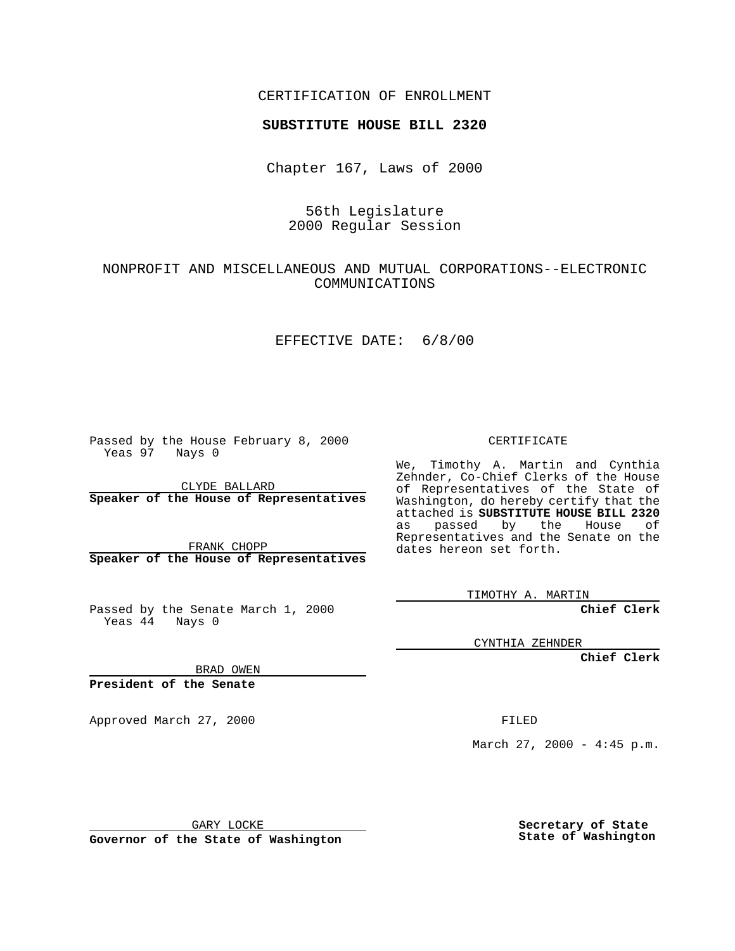#### CERTIFICATION OF ENROLLMENT

# **SUBSTITUTE HOUSE BILL 2320**

Chapter 167, Laws of 2000

# 56th Legislature 2000 Regular Session

## NONPROFIT AND MISCELLANEOUS AND MUTUAL CORPORATIONS--ELECTRONIC COMMUNICATIONS

#### EFFECTIVE DATE: 6/8/00

Passed by the House February 8, 2000 Yeas 97 Nays 0

CLYDE BALLARD **Speaker of the House of Representatives**

FRANK CHOPP **Speaker of the House of Representatives**

Passed by the Senate March 1, 2000 Yeas 44 Nays 0

CERTIFICATE

We, Timothy A. Martin and Cynthia Zehnder, Co-Chief Clerks of the House of Representatives of the State of Washington, do hereby certify that the attached is **SUBSTITUTE HOUSE BILL 2320** as passed by the House of Representatives and the Senate on the dates hereon set forth.

TIMOTHY A. MARTIN

**Chief Clerk**

CYNTHIA ZEHNDER

**Chief Clerk**

BRAD OWEN

**President of the Senate**

Approved March 27, 2000 FILED

March 27, 2000 - 4:45 p.m.

GARY LOCKE

**Governor of the State of Washington**

**Secretary of State State of Washington**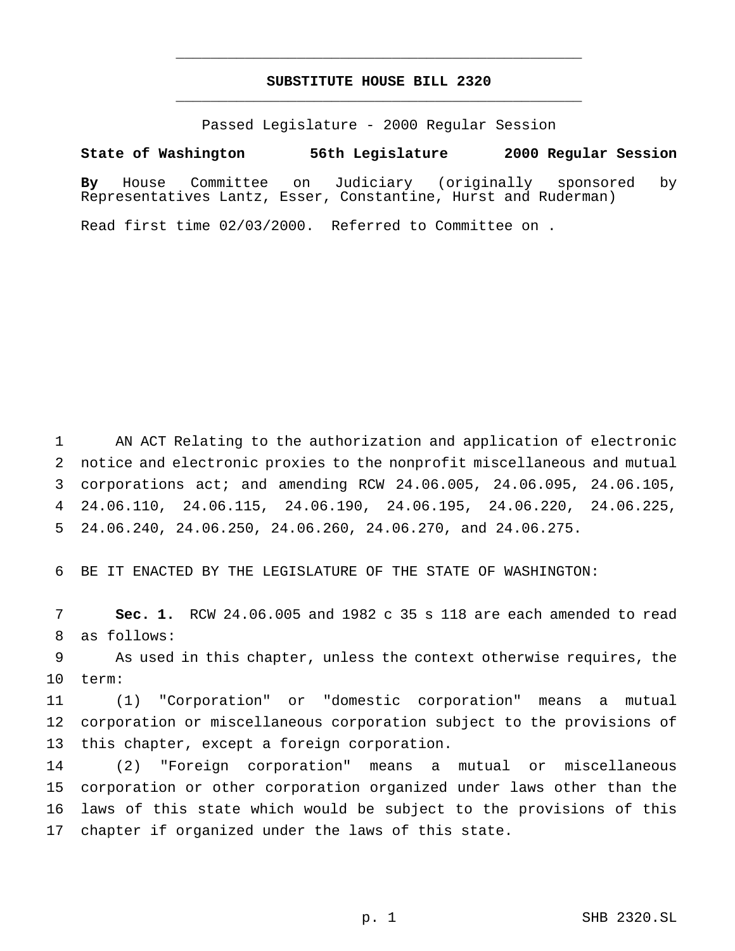#### **SUBSTITUTE HOUSE BILL 2320** \_\_\_\_\_\_\_\_\_\_\_\_\_\_\_\_\_\_\_\_\_\_\_\_\_\_\_\_\_\_\_\_\_\_\_\_\_\_\_\_\_\_\_\_\_\_\_

\_\_\_\_\_\_\_\_\_\_\_\_\_\_\_\_\_\_\_\_\_\_\_\_\_\_\_\_\_\_\_\_\_\_\_\_\_\_\_\_\_\_\_\_\_\_\_

Passed Legislature - 2000 Regular Session

**State of Washington 56th Legislature 2000 Regular Session**

**By** House Committee on Judiciary (originally sponsored by Representatives Lantz, Esser, Constantine, Hurst and Ruderman)

Read first time 02/03/2000. Referred to Committee on .

 AN ACT Relating to the authorization and application of electronic notice and electronic proxies to the nonprofit miscellaneous and mutual corporations act; and amending RCW 24.06.005, 24.06.095, 24.06.105, 24.06.110, 24.06.115, 24.06.190, 24.06.195, 24.06.220, 24.06.225, 24.06.240, 24.06.250, 24.06.260, 24.06.270, and 24.06.275.

BE IT ENACTED BY THE LEGISLATURE OF THE STATE OF WASHINGTON:

 **Sec. 1.** RCW 24.06.005 and 1982 c 35 s 118 are each amended to read as follows:

 As used in this chapter, unless the context otherwise requires, the term:

 (1) "Corporation" or "domestic corporation" means a mutual corporation or miscellaneous corporation subject to the provisions of this chapter, except a foreign corporation.

 (2) "Foreign corporation" means a mutual or miscellaneous corporation or other corporation organized under laws other than the laws of this state which would be subject to the provisions of this chapter if organized under the laws of this state.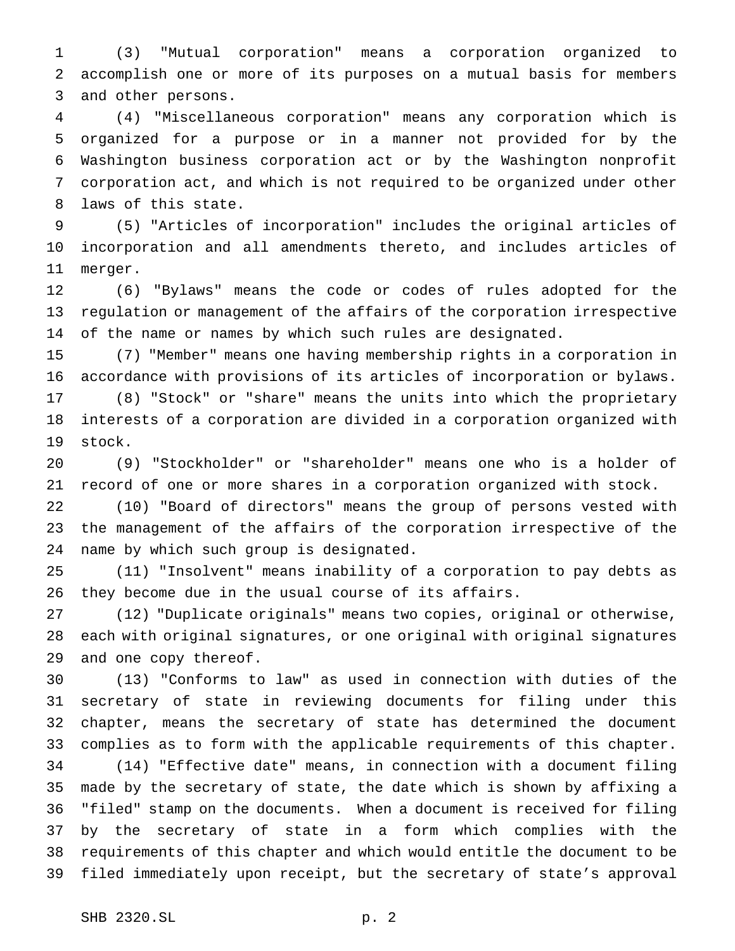(3) "Mutual corporation" means a corporation organized to accomplish one or more of its purposes on a mutual basis for members and other persons.

 (4) "Miscellaneous corporation" means any corporation which is organized for a purpose or in a manner not provided for by the Washington business corporation act or by the Washington nonprofit corporation act, and which is not required to be organized under other laws of this state.

 (5) "Articles of incorporation" includes the original articles of incorporation and all amendments thereto, and includes articles of merger.

 (6) "Bylaws" means the code or codes of rules adopted for the regulation or management of the affairs of the corporation irrespective of the name or names by which such rules are designated.

 (7) "Member" means one having membership rights in a corporation in accordance with provisions of its articles of incorporation or bylaws.

 (8) "Stock" or "share" means the units into which the proprietary interests of a corporation are divided in a corporation organized with stock.

 (9) "Stockholder" or "shareholder" means one who is a holder of record of one or more shares in a corporation organized with stock.

 (10) "Board of directors" means the group of persons vested with the management of the affairs of the corporation irrespective of the name by which such group is designated.

 (11) "Insolvent" means inability of a corporation to pay debts as they become due in the usual course of its affairs.

 (12) "Duplicate originals" means two copies, original or otherwise, each with original signatures, or one original with original signatures and one copy thereof.

 (13) "Conforms to law" as used in connection with duties of the secretary of state in reviewing documents for filing under this chapter, means the secretary of state has determined the document complies as to form with the applicable requirements of this chapter.

 (14) "Effective date" means, in connection with a document filing made by the secretary of state, the date which is shown by affixing a "filed" stamp on the documents. When a document is received for filing by the secretary of state in a form which complies with the requirements of this chapter and which would entitle the document to be filed immediately upon receipt, but the secretary of state's approval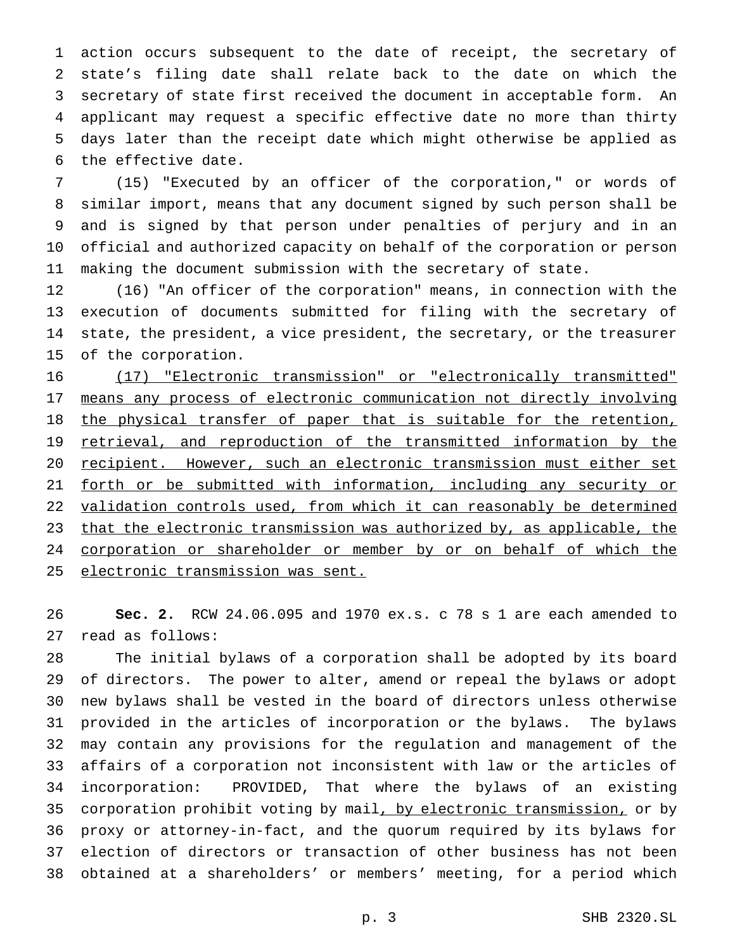action occurs subsequent to the date of receipt, the secretary of state's filing date shall relate back to the date on which the secretary of state first received the document in acceptable form. An applicant may request a specific effective date no more than thirty days later than the receipt date which might otherwise be applied as the effective date.

 (15) "Executed by an officer of the corporation," or words of similar import, means that any document signed by such person shall be and is signed by that person under penalties of perjury and in an official and authorized capacity on behalf of the corporation or person making the document submission with the secretary of state.

 (16) "An officer of the corporation" means, in connection with the execution of documents submitted for filing with the secretary of state, the president, a vice president, the secretary, or the treasurer of the corporation.

 (17) "Electronic transmission" or "electronically transmitted" means any process of electronic communication not directly involving 18 the physical transfer of paper that is suitable for the retention, 19 retrieval, and reproduction of the transmitted information by the 20 recipient. However, such an electronic transmission must either set forth or be submitted with information, including any security or validation controls used, from which it can reasonably be determined 23 that the electronic transmission was authorized by, as applicable, the corporation or shareholder or member by or on behalf of which the electronic transmission was sent.

 **Sec. 2.** RCW 24.06.095 and 1970 ex.s. c 78 s 1 are each amended to read as follows:

 The initial bylaws of a corporation shall be adopted by its board of directors. The power to alter, amend or repeal the bylaws or adopt new bylaws shall be vested in the board of directors unless otherwise provided in the articles of incorporation or the bylaws. The bylaws may contain any provisions for the regulation and management of the affairs of a corporation not inconsistent with law or the articles of incorporation: PROVIDED, That where the bylaws of an existing 35 corporation prohibit voting by mail, by electronic transmission, or by proxy or attorney-in-fact, and the quorum required by its bylaws for election of directors or transaction of other business has not been obtained at a shareholders' or members' meeting, for a period which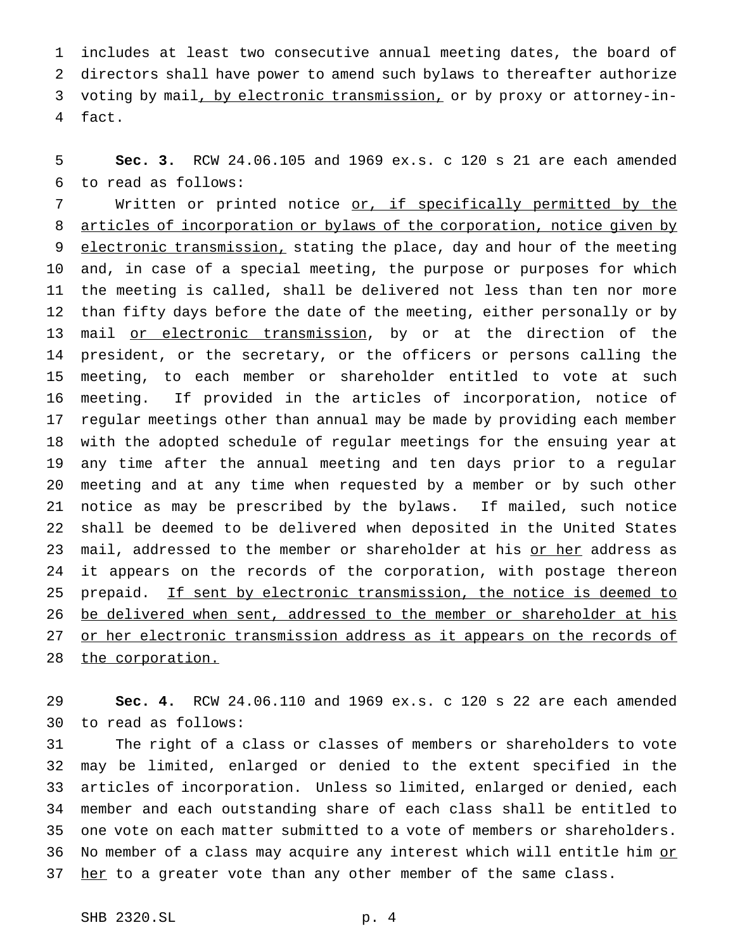includes at least two consecutive annual meeting dates, the board of directors shall have power to amend such bylaws to thereafter authorize voting by mail, by electronic transmission, or by proxy or attorney-in-fact.

 **Sec. 3.** RCW 24.06.105 and 1969 ex.s. c 120 s 21 are each amended to read as follows:

7 Written or printed notice or, if specifically permitted by the articles of incorporation or bylaws of the corporation, notice given by 9 electronic transmission, stating the place, day and hour of the meeting and, in case of a special meeting, the purpose or purposes for which the meeting is called, shall be delivered not less than ten nor more than fifty days before the date of the meeting, either personally or by 13 mail or electronic transmission, by or at the direction of the president, or the secretary, or the officers or persons calling the meeting, to each member or shareholder entitled to vote at such meeting. If provided in the articles of incorporation, notice of regular meetings other than annual may be made by providing each member with the adopted schedule of regular meetings for the ensuing year at any time after the annual meeting and ten days prior to a regular meeting and at any time when requested by a member or by such other notice as may be prescribed by the bylaws. If mailed, such notice shall be deemed to be delivered when deposited in the United States 23 mail, addressed to the member or shareholder at his or her address as it appears on the records of the corporation, with postage thereon 25 prepaid. If sent by electronic transmission, the notice is deemed to 26 be delivered when sent, addressed to the member or shareholder at his 27 or her electronic transmission address as it appears on the records of 28 the corporation.

 **Sec. 4.** RCW 24.06.110 and 1969 ex.s. c 120 s 22 are each amended to read as follows:

 The right of a class or classes of members or shareholders to vote may be limited, enlarged or denied to the extent specified in the articles of incorporation. Unless so limited, enlarged or denied, each member and each outstanding share of each class shall be entitled to one vote on each matter submitted to a vote of members or shareholders. 36 No member of a class may acquire any interest which will entitle him or 37 her to a greater vote than any other member of the same class.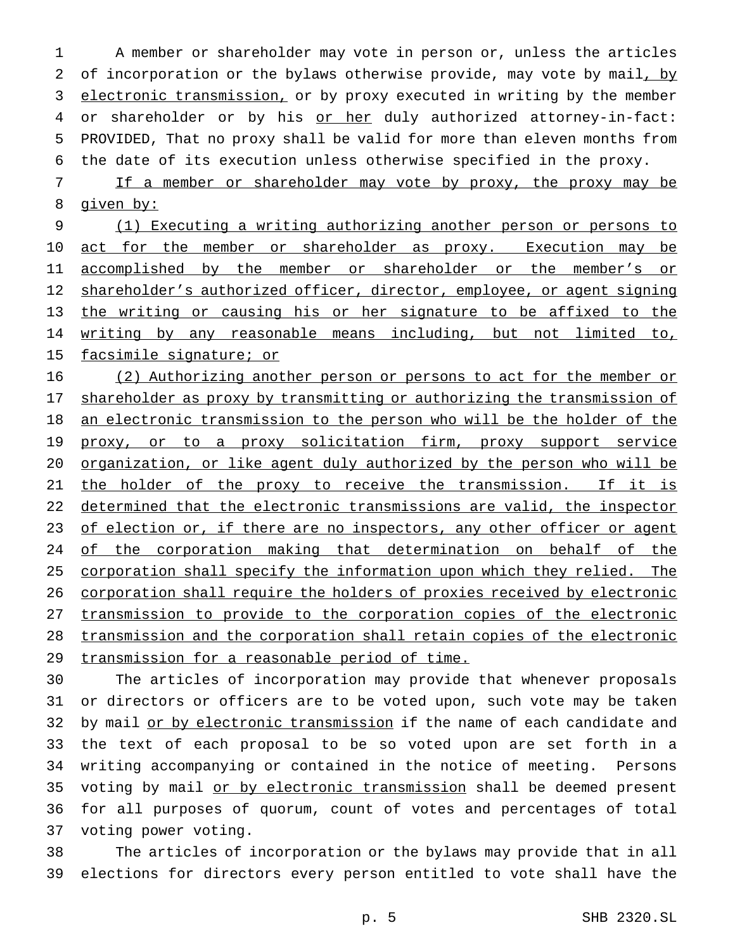1 A member or shareholder may vote in person or, unless the articles 2 of incorporation or the bylaws otherwise provide, may vote by mail, by 3 electronic transmission, or by proxy executed in writing by the member 4 or shareholder or by his or her duly authorized attorney-in-fact: 5 PROVIDED, That no proxy shall be valid for more than eleven months from 6 the date of its execution unless otherwise specified in the proxy.

7 If a member or shareholder may vote by proxy, the proxy may be 8 given by:

9 (1) Executing a writing authorizing another person or persons to 10 act for the member or shareholder as proxy. Execution may be 11 accomplished by the member or shareholder or the member's or 12 shareholder's authorized officer, director, employee, or agent signing 13 the writing or causing his or her signature to be affixed to the 14 writing by any reasonable means including, but not limited to, 15 facsimile signature; or

16 (2) Authorizing another person or persons to act for the member or 17 shareholder as proxy by transmitting or authorizing the transmission of 18 an electronic transmission to the person who will be the holder of the 19 proxy, or to a proxy solicitation firm, proxy support service 20 organization, or like agent duly authorized by the person who will be 21 the holder of the proxy to receive the transmission. If it is 22 determined that the electronic transmissions are valid, the inspector 23 of election or, if there are no inspectors, any other officer or agent 24 of the corporation making that determination on behalf of the 25 corporation shall specify the information upon which they relied. The 26 corporation shall require the holders of proxies received by electronic 27 transmission to provide to the corporation copies of the electronic 28 transmission and the corporation shall retain copies of the electronic 29 transmission for a reasonable period of time.

 The articles of incorporation may provide that whenever proposals or directors or officers are to be voted upon, such vote may be taken 32 by mail or by electronic transmission if the name of each candidate and the text of each proposal to be so voted upon are set forth in a writing accompanying or contained in the notice of meeting. Persons 35 voting by mail or by electronic transmission shall be deemed present for all purposes of quorum, count of votes and percentages of total voting power voting.

38 The articles of incorporation or the bylaws may provide that in all 39 elections for directors every person entitled to vote shall have the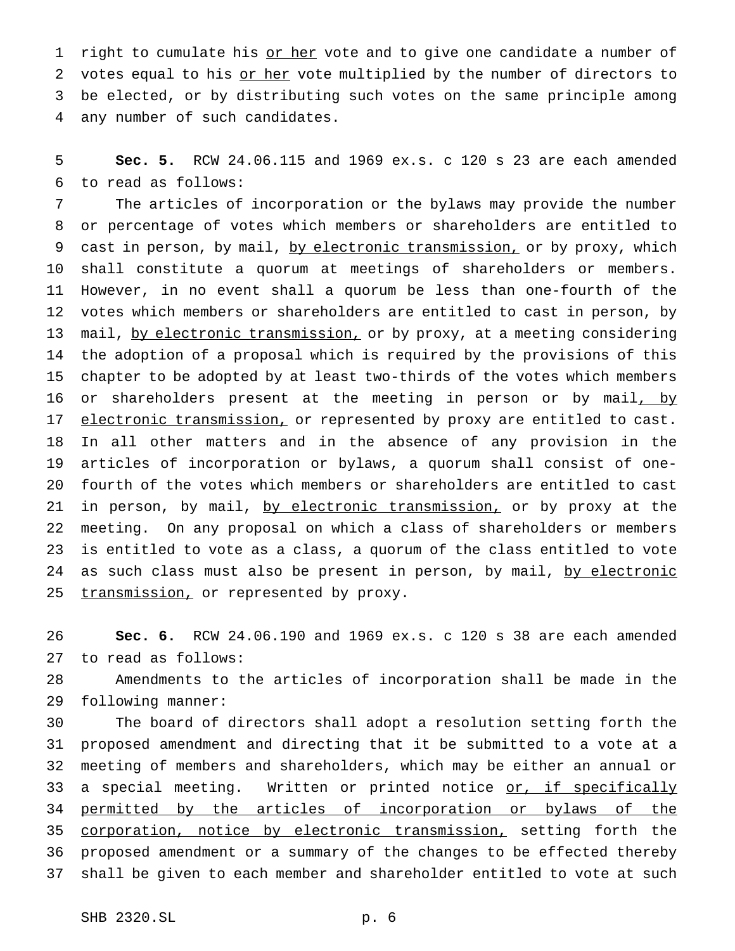1 right to cumulate his or her vote and to give one candidate a number of 2 votes equal to his or her vote multiplied by the number of directors to be elected, or by distributing such votes on the same principle among any number of such candidates.

 **Sec. 5.** RCW 24.06.115 and 1969 ex.s. c 120 s 23 are each amended to read as follows:

 The articles of incorporation or the bylaws may provide the number or percentage of votes which members or shareholders are entitled to 9 cast in person, by mail, by electronic transmission, or by proxy, which shall constitute a quorum at meetings of shareholders or members. However, in no event shall a quorum be less than one-fourth of the votes which members or shareholders are entitled to cast in person, by 13 mail, by electronic transmission, or by proxy, at a meeting considering the adoption of a proposal which is required by the provisions of this chapter to be adopted by at least two-thirds of the votes which members 16 or shareholders present at the meeting in person or by mail, by 17 electronic transmission, or represented by proxy are entitled to cast. In all other matters and in the absence of any provision in the articles of incorporation or bylaws, a quorum shall consist of one- fourth of the votes which members or shareholders are entitled to cast 21 in person, by mail, by electronic transmission, or by proxy at the meeting. On any proposal on which a class of shareholders or members is entitled to vote as a class, a quorum of the class entitled to vote 24 as such class must also be present in person, by mail, by electronic 25 transmission, or represented by proxy.

 **Sec. 6.** RCW 24.06.190 and 1969 ex.s. c 120 s 38 are each amended to read as follows:

 Amendments to the articles of incorporation shall be made in the following manner:

 The board of directors shall adopt a resolution setting forth the proposed amendment and directing that it be submitted to a vote at a meeting of members and shareholders, which may be either an annual or 33 a special meeting. Written or printed notice or, if specifically 34 permitted by the articles of incorporation or bylaws of the 35 corporation, notice by electronic transmission, setting forth the proposed amendment or a summary of the changes to be effected thereby shall be given to each member and shareholder entitled to vote at such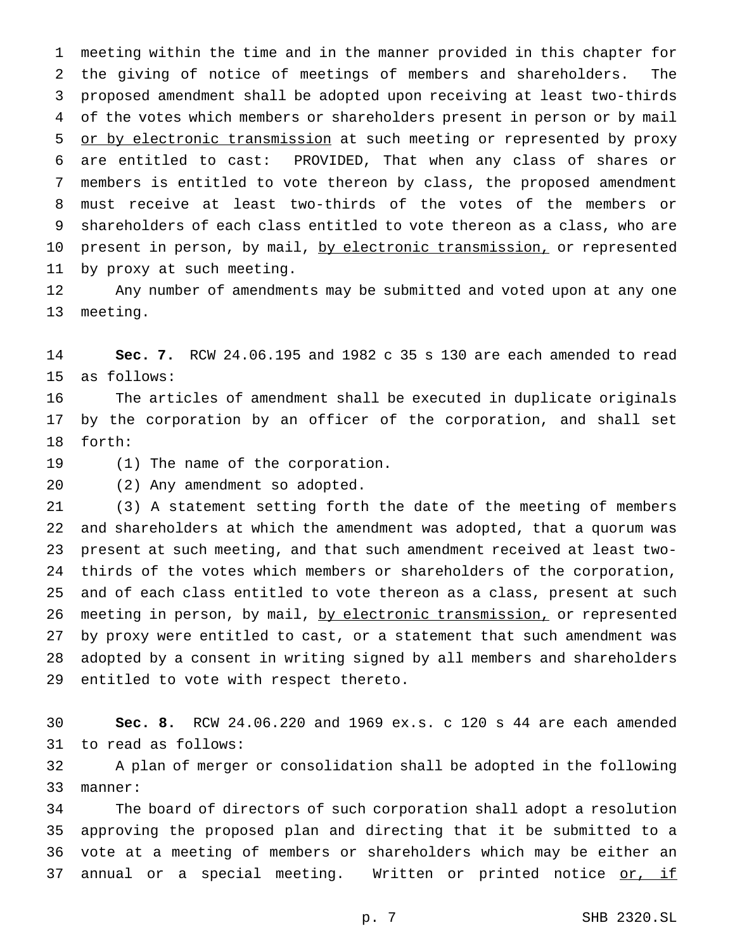meeting within the time and in the manner provided in this chapter for the giving of notice of meetings of members and shareholders. The proposed amendment shall be adopted upon receiving at least two-thirds of the votes which members or shareholders present in person or by mail 5 or by electronic transmission at such meeting or represented by proxy are entitled to cast: PROVIDED, That when any class of shares or members is entitled to vote thereon by class, the proposed amendment must receive at least two-thirds of the votes of the members or shareholders of each class entitled to vote thereon as a class, who are 10 present in person, by mail, by electronic transmission, or represented by proxy at such meeting.

 Any number of amendments may be submitted and voted upon at any one meeting.

 **Sec. 7.** RCW 24.06.195 and 1982 c 35 s 130 are each amended to read as follows:

 The articles of amendment shall be executed in duplicate originals by the corporation by an officer of the corporation, and shall set forth:

(1) The name of the corporation.

(2) Any amendment so adopted.

 (3) A statement setting forth the date of the meeting of members and shareholders at which the amendment was adopted, that a quorum was present at such meeting, and that such amendment received at least two- thirds of the votes which members or shareholders of the corporation, and of each class entitled to vote thereon as a class, present at such 26 meeting in person, by mail, by electronic transmission, or represented by proxy were entitled to cast, or a statement that such amendment was adopted by a consent in writing signed by all members and shareholders entitled to vote with respect thereto.

 **Sec. 8.** RCW 24.06.220 and 1969 ex.s. c 120 s 44 are each amended to read as follows:

 A plan of merger or consolidation shall be adopted in the following manner:

 The board of directors of such corporation shall adopt a resolution approving the proposed plan and directing that it be submitted to a vote at a meeting of members or shareholders which may be either an 37 annual or a special meeting. Written or printed notice or, if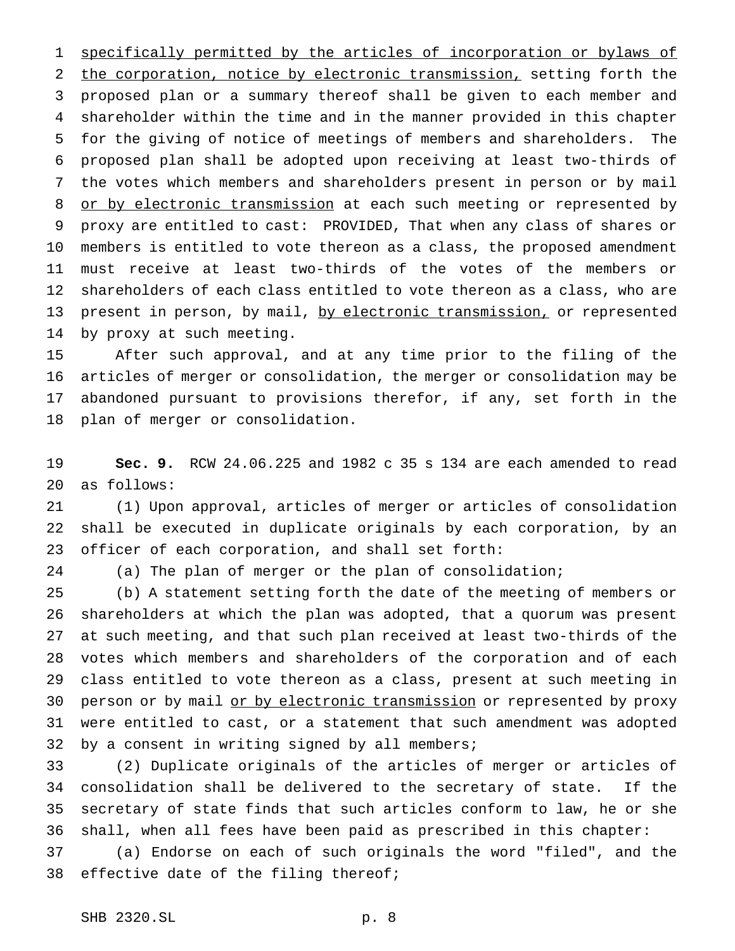specifically permitted by the articles of incorporation or bylaws of 2 the corporation, notice by electronic transmission, setting forth the proposed plan or a summary thereof shall be given to each member and shareholder within the time and in the manner provided in this chapter for the giving of notice of meetings of members and shareholders. The proposed plan shall be adopted upon receiving at least two-thirds of the votes which members and shareholders present in person or by mail 8 or by electronic transmission at each such meeting or represented by proxy are entitled to cast: PROVIDED, That when any class of shares or members is entitled to vote thereon as a class, the proposed amendment must receive at least two-thirds of the votes of the members or shareholders of each class entitled to vote thereon as a class, who are 13 present in person, by mail, by electronic transmission, or represented by proxy at such meeting.

 After such approval, and at any time prior to the filing of the articles of merger or consolidation, the merger or consolidation may be abandoned pursuant to provisions therefor, if any, set forth in the plan of merger or consolidation.

 **Sec. 9.** RCW 24.06.225 and 1982 c 35 s 134 are each amended to read as follows:

 (1) Upon approval, articles of merger or articles of consolidation shall be executed in duplicate originals by each corporation, by an officer of each corporation, and shall set forth:

(a) The plan of merger or the plan of consolidation;

 (b) A statement setting forth the date of the meeting of members or shareholders at which the plan was adopted, that a quorum was present at such meeting, and that such plan received at least two-thirds of the votes which members and shareholders of the corporation and of each class entitled to vote thereon as a class, present at such meeting in 30 person or by mail or by electronic transmission or represented by proxy were entitled to cast, or a statement that such amendment was adopted by a consent in writing signed by all members;

 (2) Duplicate originals of the articles of merger or articles of consolidation shall be delivered to the secretary of state. If the secretary of state finds that such articles conform to law, he or she shall, when all fees have been paid as prescribed in this chapter:

 (a) Endorse on each of such originals the word "filed", and the 38 effective date of the filing thereof;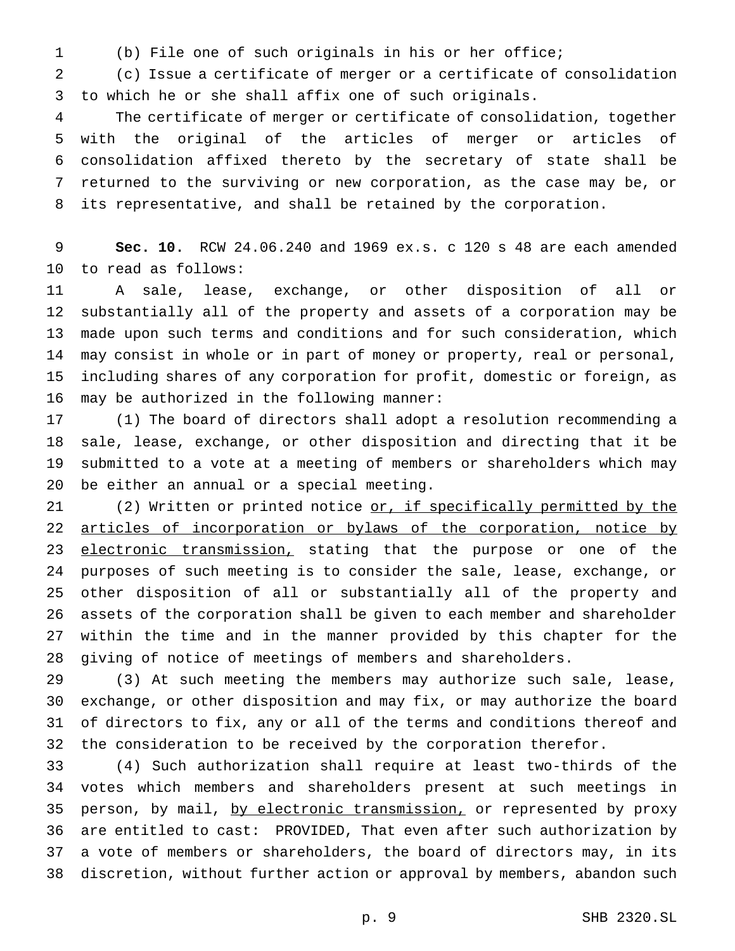(b) File one of such originals in his or her office;

 (c) Issue a certificate of merger or a certificate of consolidation to which he or she shall affix one of such originals.

 The certificate of merger or certificate of consolidation, together with the original of the articles of merger or articles of consolidation affixed thereto by the secretary of state shall be returned to the surviving or new corporation, as the case may be, or its representative, and shall be retained by the corporation.

 **Sec. 10.** RCW 24.06.240 and 1969 ex.s. c 120 s 48 are each amended to read as follows:

 A sale, lease, exchange, or other disposition of all or substantially all of the property and assets of a corporation may be made upon such terms and conditions and for such consideration, which may consist in whole or in part of money or property, real or personal, including shares of any corporation for profit, domestic or foreign, as may be authorized in the following manner:

 (1) The board of directors shall adopt a resolution recommending a sale, lease, exchange, or other disposition and directing that it be submitted to a vote at a meeting of members or shareholders which may be either an annual or a special meeting.

21 (2) Written or printed notice or, if specifically permitted by the 22 articles of incorporation or bylaws of the corporation, notice by 23 electronic transmission, stating that the purpose or one of the purposes of such meeting is to consider the sale, lease, exchange, or other disposition of all or substantially all of the property and assets of the corporation shall be given to each member and shareholder within the time and in the manner provided by this chapter for the giving of notice of meetings of members and shareholders.

 (3) At such meeting the members may authorize such sale, lease, exchange, or other disposition and may fix, or may authorize the board of directors to fix, any or all of the terms and conditions thereof and the consideration to be received by the corporation therefor.

 (4) Such authorization shall require at least two-thirds of the votes which members and shareholders present at such meetings in 35 person, by mail, by electronic transmission, or represented by proxy are entitled to cast: PROVIDED, That even after such authorization by a vote of members or shareholders, the board of directors may, in its discretion, without further action or approval by members, abandon such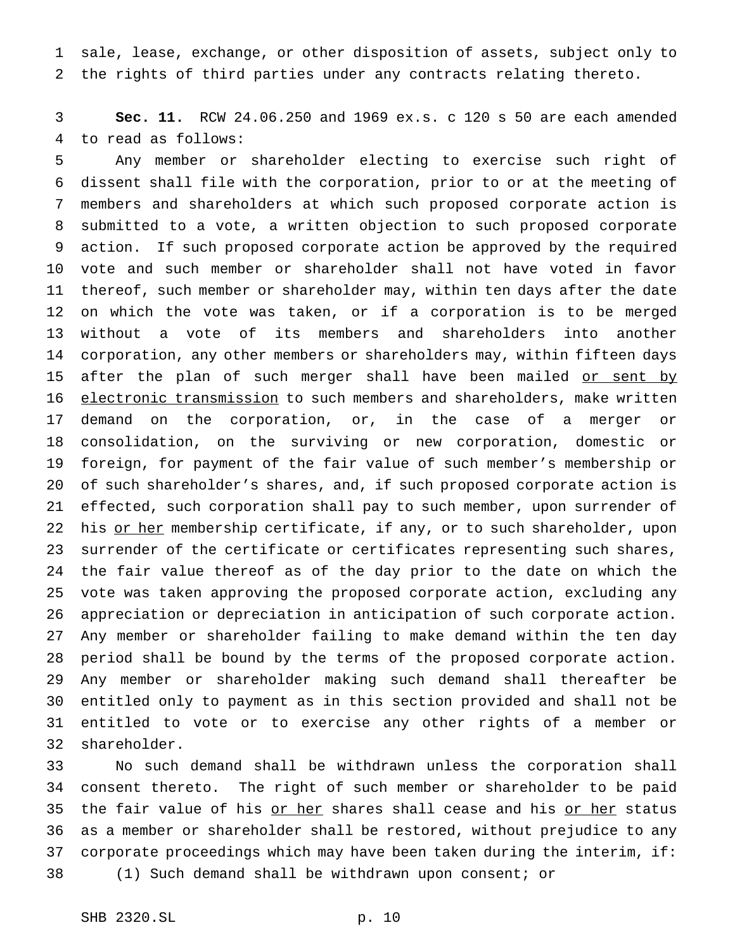sale, lease, exchange, or other disposition of assets, subject only to the rights of third parties under any contracts relating thereto.

 **Sec. 11.** RCW 24.06.250 and 1969 ex.s. c 120 s 50 are each amended to read as follows:

 Any member or shareholder electing to exercise such right of dissent shall file with the corporation, prior to or at the meeting of members and shareholders at which such proposed corporate action is submitted to a vote, a written objection to such proposed corporate action. If such proposed corporate action be approved by the required vote and such member or shareholder shall not have voted in favor thereof, such member or shareholder may, within ten days after the date on which the vote was taken, or if a corporation is to be merged without a vote of its members and shareholders into another corporation, any other members or shareholders may, within fifteen days 15 after the plan of such merger shall have been mailed or sent by 16 electronic transmission to such members and shareholders, make written demand on the corporation, or, in the case of a merger or consolidation, on the surviving or new corporation, domestic or foreign, for payment of the fair value of such member's membership or of such shareholder's shares, and, if such proposed corporate action is effected, such corporation shall pay to such member, upon surrender of 22 his or her membership certificate, if any, or to such shareholder, upon surrender of the certificate or certificates representing such shares, the fair value thereof as of the day prior to the date on which the vote was taken approving the proposed corporate action, excluding any appreciation or depreciation in anticipation of such corporate action. Any member or shareholder failing to make demand within the ten day period shall be bound by the terms of the proposed corporate action. Any member or shareholder making such demand shall thereafter be entitled only to payment as in this section provided and shall not be entitled to vote or to exercise any other rights of a member or shareholder.

 No such demand shall be withdrawn unless the corporation shall consent thereto. The right of such member or shareholder to be paid 35 the fair value of his or her shares shall cease and his or her status as a member or shareholder shall be restored, without prejudice to any corporate proceedings which may have been taken during the interim, if: (1) Such demand shall be withdrawn upon consent; or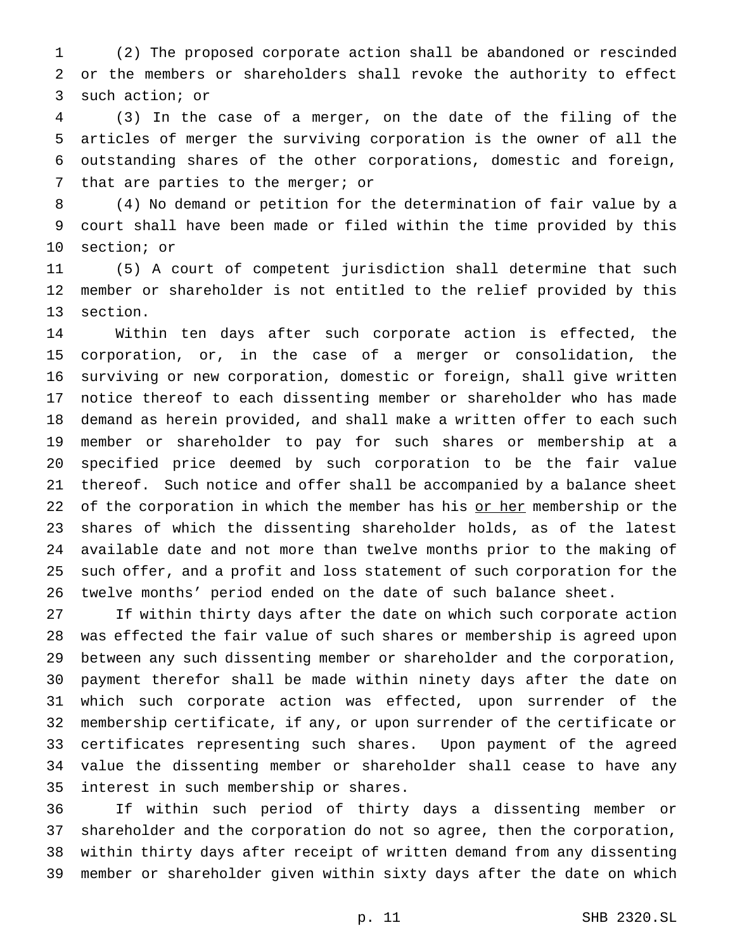(2) The proposed corporate action shall be abandoned or rescinded or the members or shareholders shall revoke the authority to effect such action; or

 (3) In the case of a merger, on the date of the filing of the articles of merger the surviving corporation is the owner of all the outstanding shares of the other corporations, domestic and foreign, that are parties to the merger; or

 (4) No demand or petition for the determination of fair value by a court shall have been made or filed within the time provided by this section; or

 (5) A court of competent jurisdiction shall determine that such member or shareholder is not entitled to the relief provided by this section.

 Within ten days after such corporate action is effected, the corporation, or, in the case of a merger or consolidation, the surviving or new corporation, domestic or foreign, shall give written notice thereof to each dissenting member or shareholder who has made demand as herein provided, and shall make a written offer to each such member or shareholder to pay for such shares or membership at a specified price deemed by such corporation to be the fair value thereof. Such notice and offer shall be accompanied by a balance sheet 22 of the corporation in which the member has his or her membership or the shares of which the dissenting shareholder holds, as of the latest available date and not more than twelve months prior to the making of such offer, and a profit and loss statement of such corporation for the twelve months' period ended on the date of such balance sheet.

 If within thirty days after the date on which such corporate action was effected the fair value of such shares or membership is agreed upon between any such dissenting member or shareholder and the corporation, payment therefor shall be made within ninety days after the date on which such corporate action was effected, upon surrender of the membership certificate, if any, or upon surrender of the certificate or certificates representing such shares. Upon payment of the agreed value the dissenting member or shareholder shall cease to have any interest in such membership or shares.

 If within such period of thirty days a dissenting member or shareholder and the corporation do not so agree, then the corporation, within thirty days after receipt of written demand from any dissenting member or shareholder given within sixty days after the date on which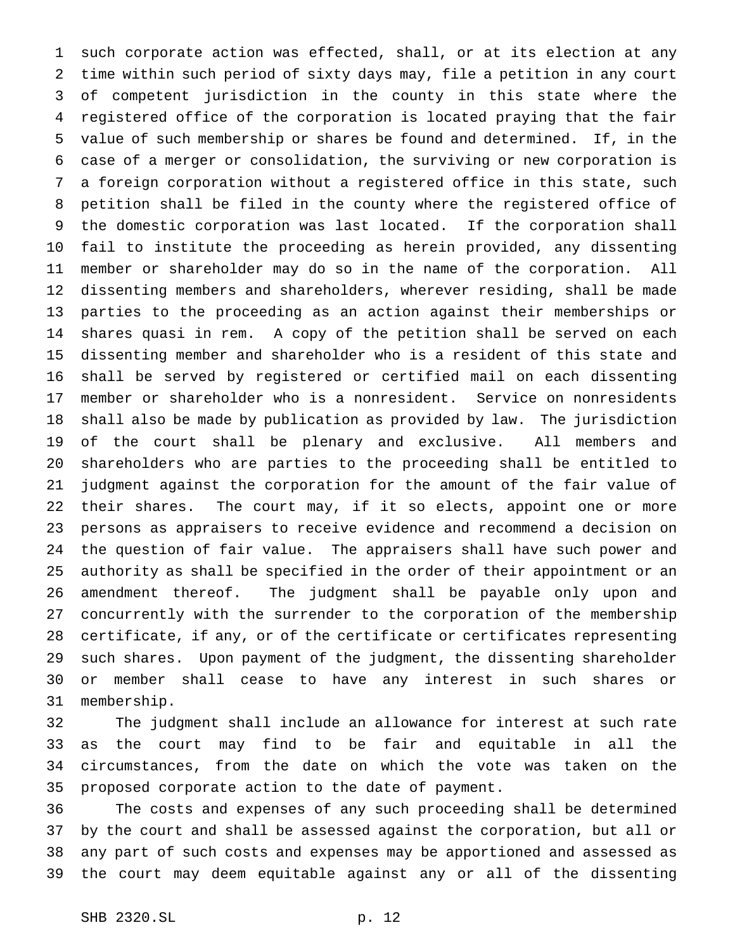such corporate action was effected, shall, or at its election at any time within such period of sixty days may, file a petition in any court of competent jurisdiction in the county in this state where the registered office of the corporation is located praying that the fair value of such membership or shares be found and determined. If, in the case of a merger or consolidation, the surviving or new corporation is a foreign corporation without a registered office in this state, such petition shall be filed in the county where the registered office of the domestic corporation was last located. If the corporation shall fail to institute the proceeding as herein provided, any dissenting member or shareholder may do so in the name of the corporation. All dissenting members and shareholders, wherever residing, shall be made parties to the proceeding as an action against their memberships or shares quasi in rem. A copy of the petition shall be served on each dissenting member and shareholder who is a resident of this state and shall be served by registered or certified mail on each dissenting member or shareholder who is a nonresident. Service on nonresidents shall also be made by publication as provided by law. The jurisdiction of the court shall be plenary and exclusive. All members and shareholders who are parties to the proceeding shall be entitled to judgment against the corporation for the amount of the fair value of their shares. The court may, if it so elects, appoint one or more persons as appraisers to receive evidence and recommend a decision on the question of fair value. The appraisers shall have such power and authority as shall be specified in the order of their appointment or an amendment thereof. The judgment shall be payable only upon and concurrently with the surrender to the corporation of the membership certificate, if any, or of the certificate or certificates representing such shares. Upon payment of the judgment, the dissenting shareholder or member shall cease to have any interest in such shares or membership.

 The judgment shall include an allowance for interest at such rate as the court may find to be fair and equitable in all the circumstances, from the date on which the vote was taken on the proposed corporate action to the date of payment.

 The costs and expenses of any such proceeding shall be determined by the court and shall be assessed against the corporation, but all or any part of such costs and expenses may be apportioned and assessed as the court may deem equitable against any or all of the dissenting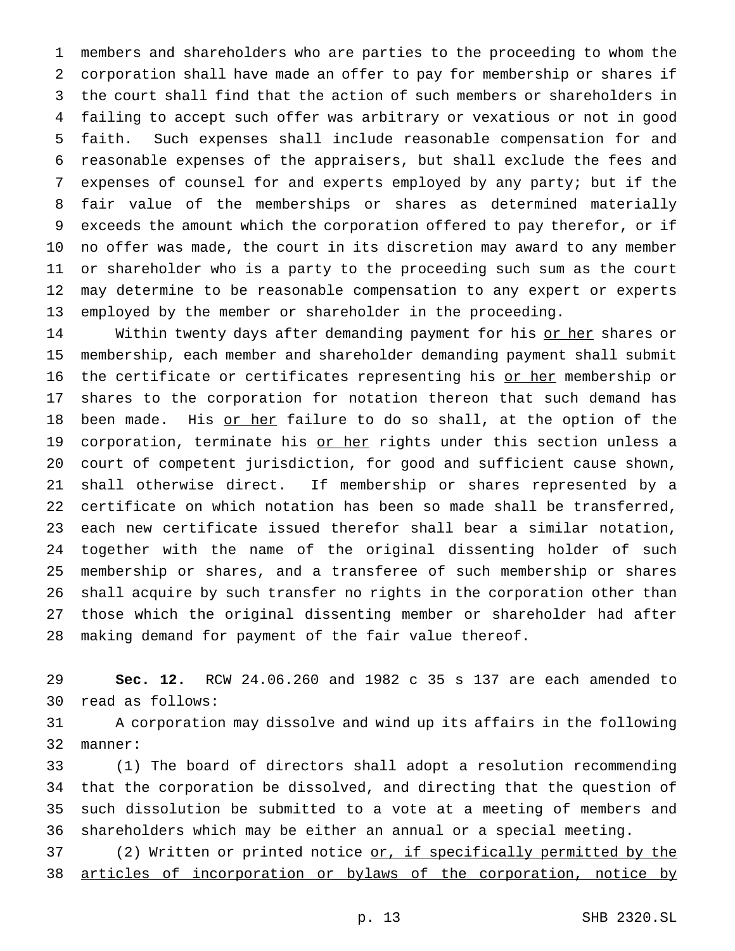members and shareholders who are parties to the proceeding to whom the corporation shall have made an offer to pay for membership or shares if the court shall find that the action of such members or shareholders in failing to accept such offer was arbitrary or vexatious or not in good faith. Such expenses shall include reasonable compensation for and reasonable expenses of the appraisers, but shall exclude the fees and expenses of counsel for and experts employed by any party; but if the fair value of the memberships or shares as determined materially exceeds the amount which the corporation offered to pay therefor, or if no offer was made, the court in its discretion may award to any member or shareholder who is a party to the proceeding such sum as the court may determine to be reasonable compensation to any expert or experts employed by the member or shareholder in the proceeding.

14 Within twenty days after demanding payment for his or her shares or membership, each member and shareholder demanding payment shall submit 16 the certificate or certificates representing his or her membership or shares to the corporation for notation thereon that such demand has 18 been made. His or her failure to do so shall, at the option of the 19 corporation, terminate his or her rights under this section unless a court of competent jurisdiction, for good and sufficient cause shown, shall otherwise direct. If membership or shares represented by a certificate on which notation has been so made shall be transferred, each new certificate issued therefor shall bear a similar notation, together with the name of the original dissenting holder of such membership or shares, and a transferee of such membership or shares shall acquire by such transfer no rights in the corporation other than those which the original dissenting member or shareholder had after making demand for payment of the fair value thereof.

 **Sec. 12.** RCW 24.06.260 and 1982 c 35 s 137 are each amended to read as follows:

 A corporation may dissolve and wind up its affairs in the following manner:

 (1) The board of directors shall adopt a resolution recommending that the corporation be dissolved, and directing that the question of such dissolution be submitted to a vote at a meeting of members and shareholders which may be either an annual or a special meeting.

37 (2) Written or printed notice or, if specifically permitted by the 38 articles of incorporation or bylaws of the corporation, notice by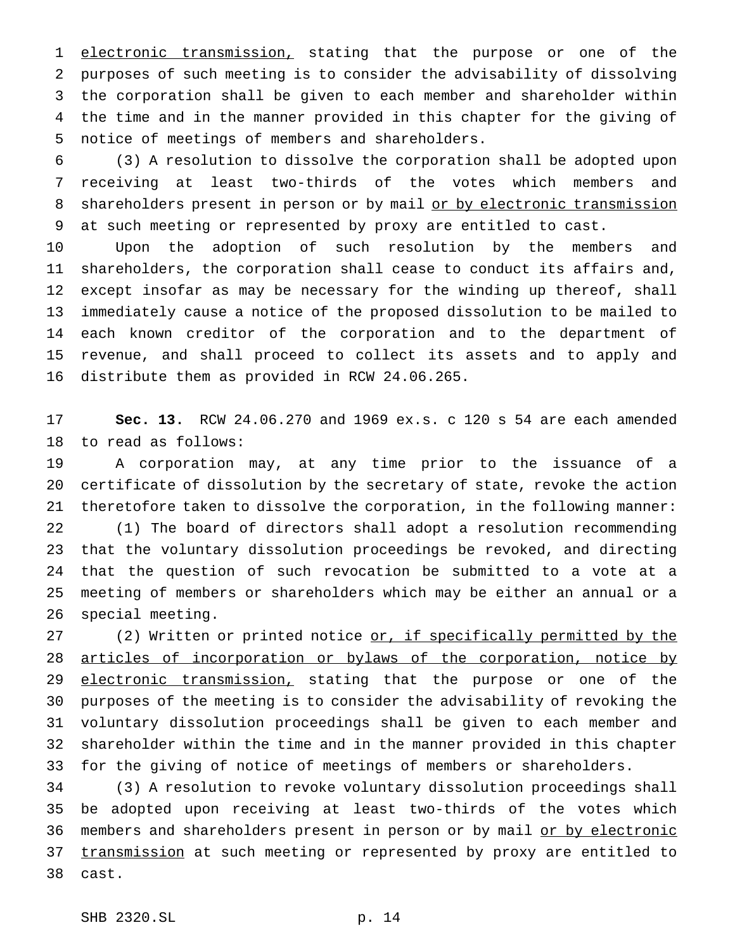1 electronic transmission, stating that the purpose or one of the purposes of such meeting is to consider the advisability of dissolving the corporation shall be given to each member and shareholder within the time and in the manner provided in this chapter for the giving of notice of meetings of members and shareholders.

 (3) A resolution to dissolve the corporation shall be adopted upon receiving at least two-thirds of the votes which members and 8 shareholders present in person or by mail or by electronic transmission at such meeting or represented by proxy are entitled to cast.

 Upon the adoption of such resolution by the members and shareholders, the corporation shall cease to conduct its affairs and, except insofar as may be necessary for the winding up thereof, shall immediately cause a notice of the proposed dissolution to be mailed to each known creditor of the corporation and to the department of revenue, and shall proceed to collect its assets and to apply and distribute them as provided in RCW 24.06.265.

 **Sec. 13.** RCW 24.06.270 and 1969 ex.s. c 120 s 54 are each amended to read as follows:

 A corporation may, at any time prior to the issuance of a certificate of dissolution by the secretary of state, revoke the action theretofore taken to dissolve the corporation, in the following manner: (1) The board of directors shall adopt a resolution recommending that the voluntary dissolution proceedings be revoked, and directing that the question of such revocation be submitted to a vote at a meeting of members or shareholders which may be either an annual or a special meeting.

27 (2) Written or printed notice or, if specifically permitted by the 28 articles of incorporation or bylaws of the corporation, notice by 29 electronic transmission, stating that the purpose or one of the purposes of the meeting is to consider the advisability of revoking the voluntary dissolution proceedings shall be given to each member and shareholder within the time and in the manner provided in this chapter for the giving of notice of meetings of members or shareholders.

 (3) A resolution to revoke voluntary dissolution proceedings shall be adopted upon receiving at least two-thirds of the votes which 36 members and shareholders present in person or by mail or by electronic 37 transmission at such meeting or represented by proxy are entitled to cast.